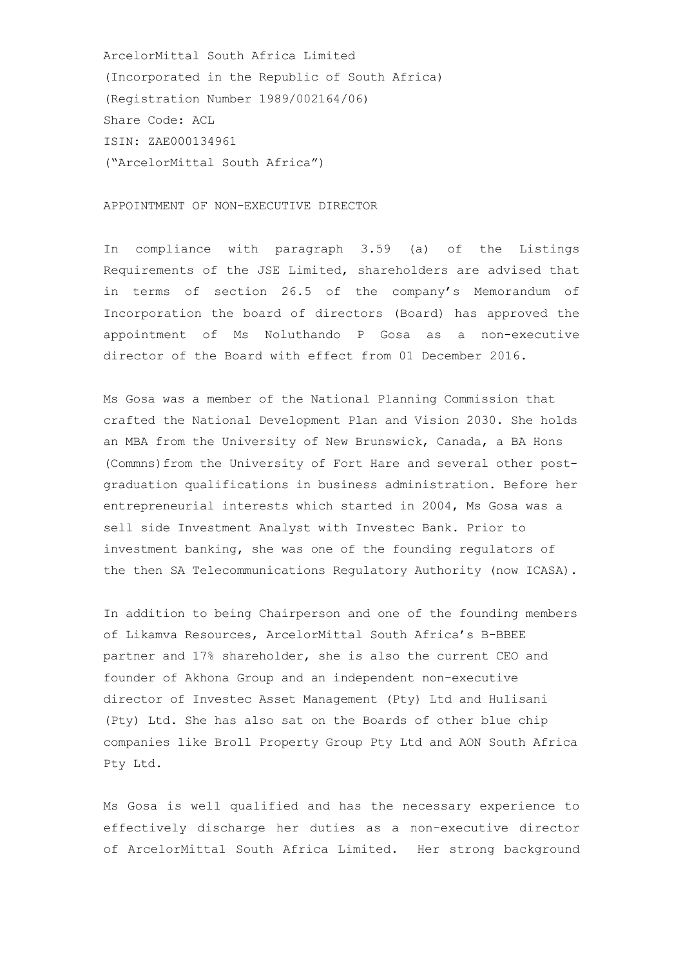ArcelorMittal South Africa Limited (Incorporated in the Republic of South Africa) (Registration Number 1989/002164/06) Share Code: ACL ISIN: ZAE000134961 ("ArcelorMittal South Africa")

## APPOINTMENT OF NON-EXECUTIVE DIRECTOR

In compliance with paragraph 3.59 (a) of the Listings Requirements of the JSE Limited, shareholders are advised that in terms of section 26.5 of the company's Memorandum of Incorporation the board of directors (Board) has approved the appointment of Ms Noluthando P Gosa as a non-executive director of the Board with effect from 01 December 2016.

Ms Gosa was a member of the National Planning Commission that crafted the National Development Plan and Vision 2030. She holds an MBA from the University of New Brunswick, Canada, a BA Hons (Commns)from the University of Fort Hare and several other postgraduation qualifications in business administration. Before her entrepreneurial interests which started in 2004, Ms Gosa was a sell side Investment Analyst with Investec Bank. Prior to investment banking, she was one of the founding regulators of the then SA Telecommunications Regulatory Authority (now ICASA).

In addition to being Chairperson and one of the founding members of Likamva Resources, ArcelorMittal South Africa's B-BBEE partner and 17% shareholder, she is also the current CEO and founder of Akhona Group and an independent non-executive director of Investec Asset Management (Pty) Ltd and Hulisani (Pty) Ltd. She has also sat on the Boards of other blue chip companies like Broll Property Group Pty Ltd and AON South Africa Pty Ltd.

Ms Gosa is well qualified and has the necessary experience to effectively discharge her duties as a non-executive director of ArcelorMittal South Africa Limited. Her strong background